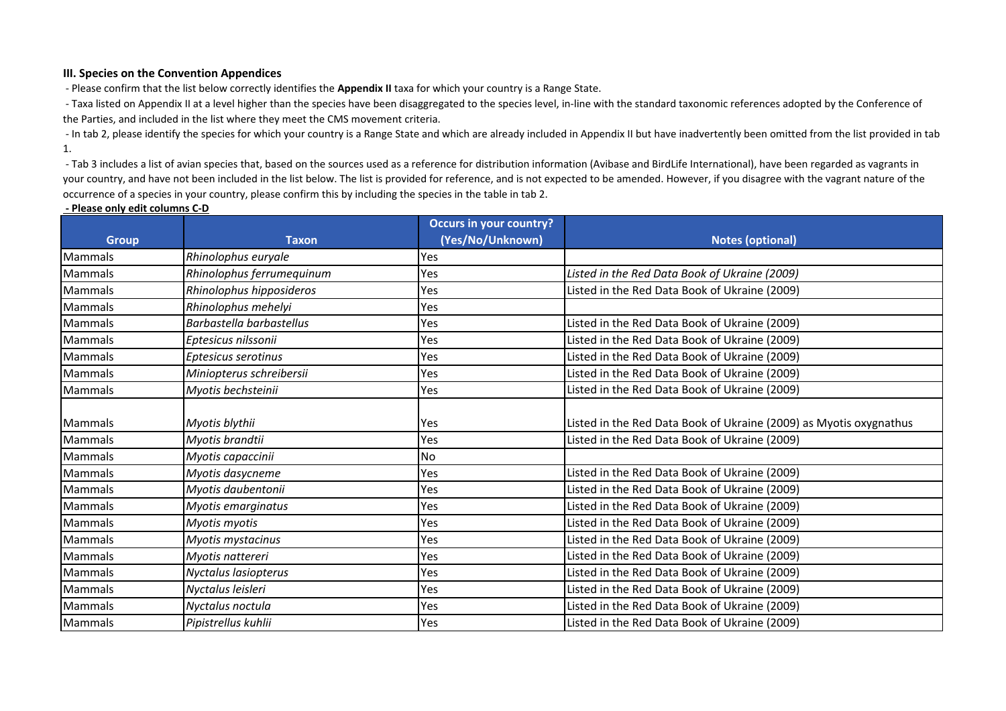## **III. Species on the Convention Appendices**

- Please confirm that the list below correctly identifies the **Appendix II** taxa for which your country is a Range State.

- Taxa listed on Appendix II at a level higher than the species have been disaggregated to the species level, in-line with the standard taxonomic references adopted by the Conference of the Parties, and included in the list where they meet the CMS movement criteria.

- In tab 2, please identify the species for which your country is a Range State and which are already included in Appendix II but have inadvertently been omitted from the list provided in tab 1.

- Tab 3 includes a list of avian species that, based on the sources used as a reference for distribution information (Avibase and BirdLife International), have been regarded as vagrants in your country, and have not been included in the list below. The list is provided for reference, and is not expected to be amended. However, if you disagree with the vagrant nature of the occurrence of a species in your country, please confirm this by including the species in the table in tab 2.

## **- Please only edit columns C-D**

|                |                           | <b>Occurs in your country?</b> |                                                                    |
|----------------|---------------------------|--------------------------------|--------------------------------------------------------------------|
| <b>Group</b>   | <b>Taxon</b>              | (Yes/No/Unknown)               | <b>Notes (optional)</b>                                            |
| Mammals        | Rhinolophus euryale       | Yes                            |                                                                    |
| <b>Mammals</b> | Rhinolophus ferrumequinum | Yes                            | Listed in the Red Data Book of Ukraine (2009)                      |
| <b>Mammals</b> | Rhinolophus hipposideros  | Yes                            | Listed in the Red Data Book of Ukraine (2009)                      |
| <b>Mammals</b> | Rhinolophus mehelyi       | Yes                            |                                                                    |
| Mammals        | Barbastella barbastellus  | Yes                            | Listed in the Red Data Book of Ukraine (2009)                      |
| <b>Mammals</b> | Eptesicus nilssonii       | Yes                            | Listed in the Red Data Book of Ukraine (2009)                      |
| Mammals        | Eptesicus serotinus       | Yes                            | Listed in the Red Data Book of Ukraine (2009)                      |
| <b>Mammals</b> | Miniopterus schreibersii  | Yes                            | Listed in the Red Data Book of Ukraine (2009)                      |
| <b>Mammals</b> | Myotis bechsteinii        | Yes                            | Listed in the Red Data Book of Ukraine (2009)                      |
|                |                           |                                |                                                                    |
| <b>Mammals</b> | Myotis blythii            | <b>Yes</b>                     | Listed in the Red Data Book of Ukraine (2009) as Myotis oxygnathus |
| <b>Mammals</b> | Myotis brandtii           | Yes                            | Listed in the Red Data Book of Ukraine (2009)                      |
| <b>Mammals</b> | Myotis capaccinii         | <b>No</b>                      |                                                                    |
| <b>Mammals</b> | Myotis dasycneme          | Yes                            | Listed in the Red Data Book of Ukraine (2009)                      |
| <b>Mammals</b> | Myotis daubentonii        | Yes                            | Listed in the Red Data Book of Ukraine (2009)                      |
| <b>Mammals</b> | Myotis emarginatus        | Yes                            | Listed in the Red Data Book of Ukraine (2009)                      |
| <b>Mammals</b> | Myotis myotis             | Yes                            | Listed in the Red Data Book of Ukraine (2009)                      |
| <b>Mammals</b> | Myotis mystacinus         | Yes                            | Listed in the Red Data Book of Ukraine (2009)                      |
| <b>Mammals</b> | Myotis nattereri          | Yes                            | Listed in the Red Data Book of Ukraine (2009)                      |
| <b>Mammals</b> | Nyctalus lasiopterus      | Yes                            | Listed in the Red Data Book of Ukraine (2009)                      |
| Mammals        | Nyctalus leisleri         | Yes                            | Listed in the Red Data Book of Ukraine (2009)                      |
| <b>Mammals</b> | Nyctalus noctula          | Yes                            | Listed in the Red Data Book of Ukraine (2009)                      |
| Mammals        | Pipistrellus kuhlii       | Yes                            | Listed in the Red Data Book of Ukraine (2009)                      |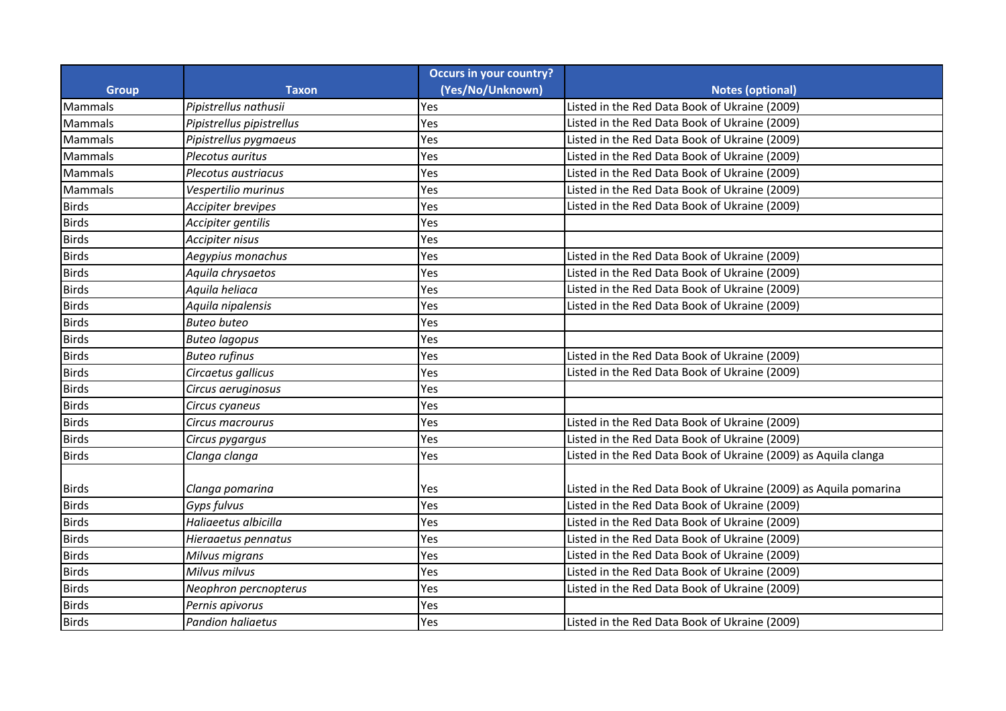|              |                           | <b>Occurs in your country?</b> |                                                                  |
|--------------|---------------------------|--------------------------------|------------------------------------------------------------------|
| Group        | <b>Taxon</b>              | (Yes/No/Unknown)               | <b>Notes (optional)</b>                                          |
| Mammals      | Pipistrellus nathusii     | Yes                            | Listed in the Red Data Book of Ukraine (2009)                    |
| Mammals      | Pipistrellus pipistrellus | Yes                            | Listed in the Red Data Book of Ukraine (2009)                    |
| Mammals      | Pipistrellus pygmaeus     | Yes                            | Listed in the Red Data Book of Ukraine (2009)                    |
| Mammals      | Plecotus auritus          | Yes                            | Listed in the Red Data Book of Ukraine (2009)                    |
| Mammals      | Plecotus austriacus       | Yes                            | Listed in the Red Data Book of Ukraine (2009)                    |
| Mammals      | Vespertilio murinus       | Yes                            | Listed in the Red Data Book of Ukraine (2009)                    |
| <b>Birds</b> | Accipiter brevipes        | Yes                            | Listed in the Red Data Book of Ukraine (2009)                    |
| <b>Birds</b> | Accipiter gentilis        | Yes                            |                                                                  |
| <b>Birds</b> | Accipiter nisus           | Yes                            |                                                                  |
| <b>Birds</b> | Aegypius monachus         | Yes                            | Listed in the Red Data Book of Ukraine (2009)                    |
| <b>Birds</b> | Aquila chrysaetos         | Yes                            | Listed in the Red Data Book of Ukraine (2009)                    |
| <b>Birds</b> | Aquila heliaca            | Yes                            | Listed in the Red Data Book of Ukraine (2009)                    |
| <b>Birds</b> | Aquila nipalensis         | Yes                            | Listed in the Red Data Book of Ukraine (2009)                    |
| <b>Birds</b> | <b>Buteo buteo</b>        | Yes                            |                                                                  |
| <b>Birds</b> | <b>Buteo lagopus</b>      | Yes                            |                                                                  |
| <b>Birds</b> | <b>Buteo rufinus</b>      | Yes                            | Listed in the Red Data Book of Ukraine (2009)                    |
| <b>Birds</b> | Circaetus gallicus        | Yes                            | Listed in the Red Data Book of Ukraine (2009)                    |
| <b>Birds</b> | Circus aeruginosus        | Yes                            |                                                                  |
| <b>Birds</b> | Circus cyaneus            | Yes                            |                                                                  |
| <b>Birds</b> | Circus macrourus          | Yes                            | Listed in the Red Data Book of Ukraine (2009)                    |
| <b>Birds</b> | Circus pygargus           | Yes                            | Listed in the Red Data Book of Ukraine (2009)                    |
| <b>Birds</b> | Clanga clanga             | Yes                            | Listed in the Red Data Book of Ukraine (2009) as Aquila clanga   |
|              |                           |                                |                                                                  |
| <b>Birds</b> | Clanga pomarina           | Yes                            | Listed in the Red Data Book of Ukraine (2009) as Aquila pomarina |
| <b>Birds</b> | Gyps fulvus               | Yes                            | Listed in the Red Data Book of Ukraine (2009)                    |
| <b>Birds</b> | Haliaeetus albicilla      | Yes                            | Listed in the Red Data Book of Ukraine (2009)                    |
| <b>Birds</b> | Hieraaetus pennatus       | Yes                            | Listed in the Red Data Book of Ukraine (2009)                    |
| <b>Birds</b> | Milvus migrans            | Yes                            | Listed in the Red Data Book of Ukraine (2009)                    |
| <b>Birds</b> | Milvus milvus             | Yes                            | Listed in the Red Data Book of Ukraine (2009)                    |
| <b>Birds</b> | Neophron percnopterus     | Yes                            | Listed in the Red Data Book of Ukraine (2009)                    |
| <b>Birds</b> | Pernis apivorus           | Yes                            |                                                                  |
| <b>Birds</b> | <b>Pandion haliaetus</b>  | Yes                            | Listed in the Red Data Book of Ukraine (2009)                    |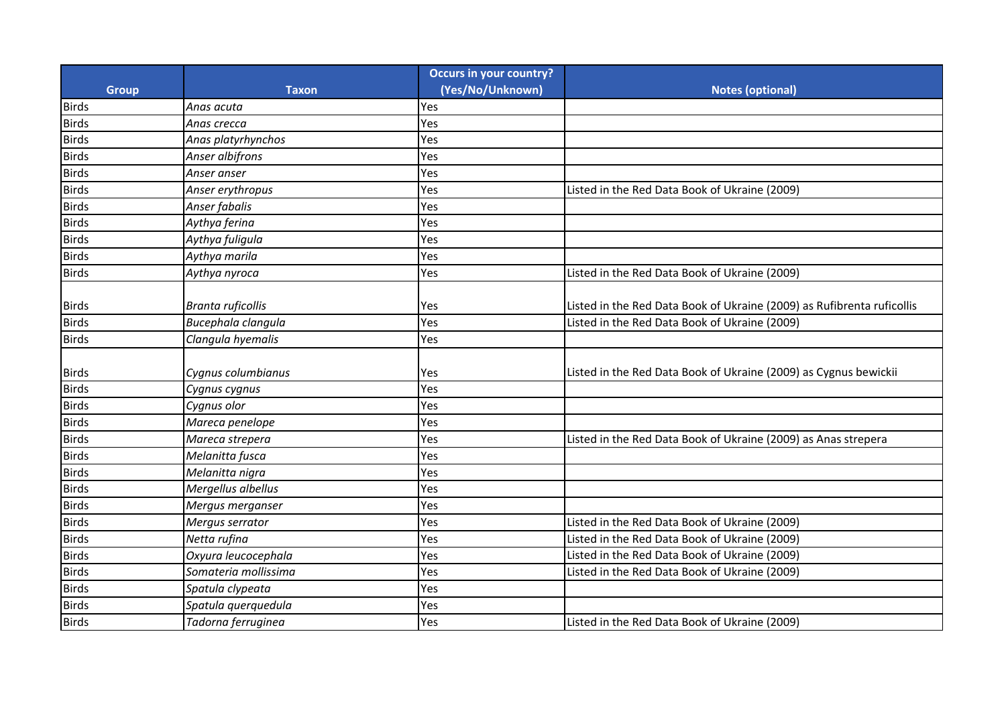|              |                          | <b>Occurs in your country?</b> |                                                                        |
|--------------|--------------------------|--------------------------------|------------------------------------------------------------------------|
| <b>Group</b> | <b>Taxon</b>             | (Yes/No/Unknown)               | <b>Notes (optional)</b>                                                |
| <b>Birds</b> | Anas acuta               | Yes                            |                                                                        |
| <b>Birds</b> | Anas crecca              | Yes                            |                                                                        |
| <b>Birds</b> | Anas platyrhynchos       | Yes                            |                                                                        |
| <b>Birds</b> | Anser albifrons          | Yes                            |                                                                        |
| <b>Birds</b> | Anser anser              | Yes                            |                                                                        |
| <b>Birds</b> | Anser erythropus         | Yes                            | Listed in the Red Data Book of Ukraine (2009)                          |
| <b>Birds</b> | Anser fabalis            | Yes                            |                                                                        |
| <b>Birds</b> | Aythya ferina            | Yes                            |                                                                        |
| <b>Birds</b> | Aythya fuligula          | Yes                            |                                                                        |
| <b>Birds</b> | Aythya marila            | Yes                            |                                                                        |
| <b>Birds</b> | Aythya nyroca            | Yes                            | Listed in the Red Data Book of Ukraine (2009)                          |
|              |                          |                                |                                                                        |
| <b>Birds</b> | <b>Branta ruficollis</b> | Yes                            | Listed in the Red Data Book of Ukraine (2009) as Rufibrenta ruficollis |
| <b>Birds</b> | Bucephala clangula       | Yes                            | Listed in the Red Data Book of Ukraine (2009)                          |
| <b>Birds</b> | Clangula hyemalis        | Yes                            |                                                                        |
|              |                          |                                |                                                                        |
| <b>Birds</b> | Cygnus columbianus       | Yes                            | Listed in the Red Data Book of Ukraine (2009) as Cygnus bewickii       |
| <b>Birds</b> | Cygnus cygnus            | Yes                            |                                                                        |
| <b>Birds</b> | Cygnus olor              | Yes                            |                                                                        |
| <b>Birds</b> | Mareca penelope          | Yes                            |                                                                        |
| <b>Birds</b> | Mareca strepera          | Yes                            | Listed in the Red Data Book of Ukraine (2009) as Anas strepera         |
| <b>Birds</b> | Melanitta fusca          | Yes                            |                                                                        |
| <b>Birds</b> | Melanitta nigra          | Yes                            |                                                                        |
| <b>Birds</b> | Mergellus albellus       | Yes                            |                                                                        |
| <b>Birds</b> | Mergus merganser         | Yes                            |                                                                        |
| <b>Birds</b> | Mergus serrator          | Yes                            | Listed in the Red Data Book of Ukraine (2009)                          |
| <b>Birds</b> | Netta rufina             | Yes                            | Listed in the Red Data Book of Ukraine (2009)                          |
| <b>Birds</b> | Oxyura leucocephala      | Yes                            | Listed in the Red Data Book of Ukraine (2009)                          |
| <b>Birds</b> | Somateria mollissima     | Yes                            | Listed in the Red Data Book of Ukraine (2009)                          |
| <b>Birds</b> | Spatula clypeata         | Yes                            |                                                                        |
| <b>Birds</b> | Spatula querquedula      | Yes                            |                                                                        |
| <b>Birds</b> | Tadorna ferruginea       | Yes                            | Listed in the Red Data Book of Ukraine (2009)                          |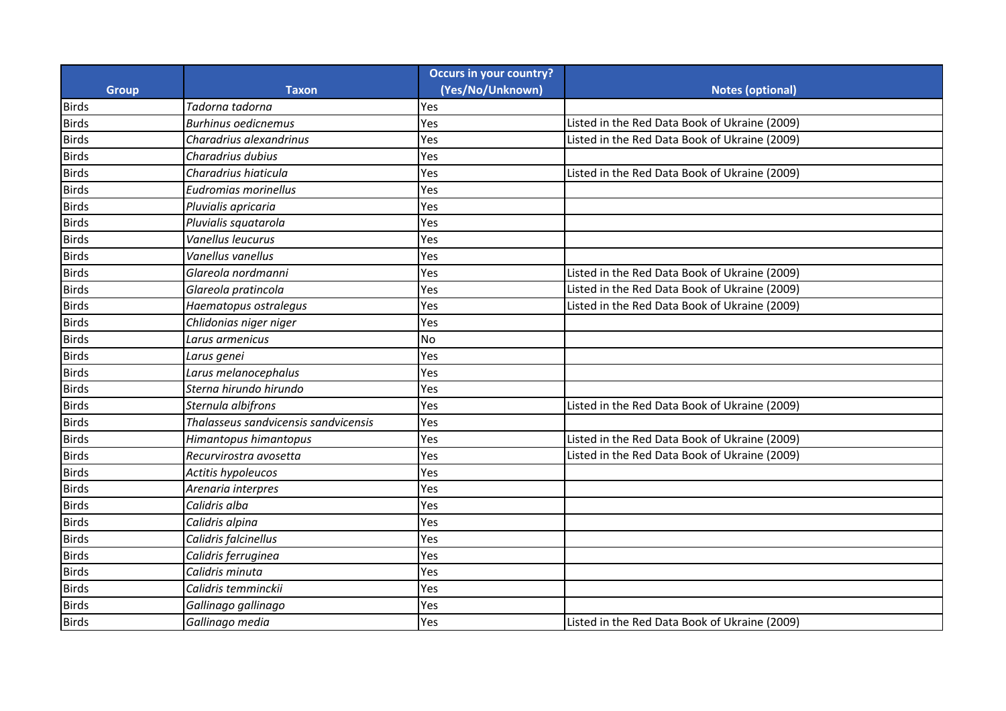|              |                                      | <b>Occurs in your country?</b> |                                               |
|--------------|--------------------------------------|--------------------------------|-----------------------------------------------|
| <b>Group</b> | <b>Taxon</b>                         | (Yes/No/Unknown)               | <b>Notes (optional)</b>                       |
| <b>Birds</b> | Tadorna tadorna                      | Yes                            |                                               |
| <b>Birds</b> | <b>Burhinus oedicnemus</b>           | Yes                            | Listed in the Red Data Book of Ukraine (2009) |
| <b>Birds</b> | Charadrius alexandrinus              | Yes                            | Listed in the Red Data Book of Ukraine (2009) |
| <b>Birds</b> | Charadrius dubius                    | Yes                            |                                               |
| <b>Birds</b> | Charadrius hiaticula                 | Yes                            | Listed in the Red Data Book of Ukraine (2009) |
| <b>Birds</b> | Eudromias morinellus                 | Yes                            |                                               |
| <b>Birds</b> | Pluvialis apricaria                  | Yes                            |                                               |
| <b>Birds</b> | Pluvialis squatarola                 | Yes                            |                                               |
| <b>Birds</b> | Vanellus leucurus                    | Yes                            |                                               |
| <b>Birds</b> | Vanellus vanellus                    | Yes                            |                                               |
| <b>Birds</b> | Glareola nordmanni                   | Yes                            | Listed in the Red Data Book of Ukraine (2009) |
| <b>Birds</b> | Glareola pratincola                  | Yes                            | Listed in the Red Data Book of Ukraine (2009) |
| <b>Birds</b> | Haematopus ostralegus                | Yes                            | Listed in the Red Data Book of Ukraine (2009) |
| <b>Birds</b> | Chlidonias niger niger               | Yes                            |                                               |
| <b>Birds</b> | Larus armenicus                      | No                             |                                               |
| <b>Birds</b> | Larus genei                          | Yes                            |                                               |
| <b>Birds</b> | Larus melanocephalus                 | Yes                            |                                               |
| <b>Birds</b> | Sterna hirundo hirundo               | Yes                            |                                               |
| <b>Birds</b> | Sternula albifrons                   | Yes                            | Listed in the Red Data Book of Ukraine (2009) |
| <b>Birds</b> | Thalasseus sandvicensis sandvicensis | Yes                            |                                               |
| <b>Birds</b> | Himantopus himantopus                | Yes                            | Listed in the Red Data Book of Ukraine (2009) |
| <b>Birds</b> | Recurvirostra avosetta               | Yes                            | Listed in the Red Data Book of Ukraine (2009) |
| <b>Birds</b> | Actitis hypoleucos                   | Yes                            |                                               |
| <b>Birds</b> | Arenaria interpres                   | Yes                            |                                               |
| <b>Birds</b> | Calidris alba                        | Yes                            |                                               |
| <b>Birds</b> | Calidris alpina                      | Yes                            |                                               |
| <b>Birds</b> | Calidris falcinellus                 | Yes                            |                                               |
| <b>Birds</b> | Calidris ferruginea                  | Yes                            |                                               |
| <b>Birds</b> | Calidris minuta                      | Yes                            |                                               |
| <b>Birds</b> | Calidris temminckii                  | Yes                            |                                               |
| <b>Birds</b> | Gallinago gallinago                  | Yes                            |                                               |
| <b>Birds</b> | Gallinago media                      | Yes                            | Listed in the Red Data Book of Ukraine (2009) |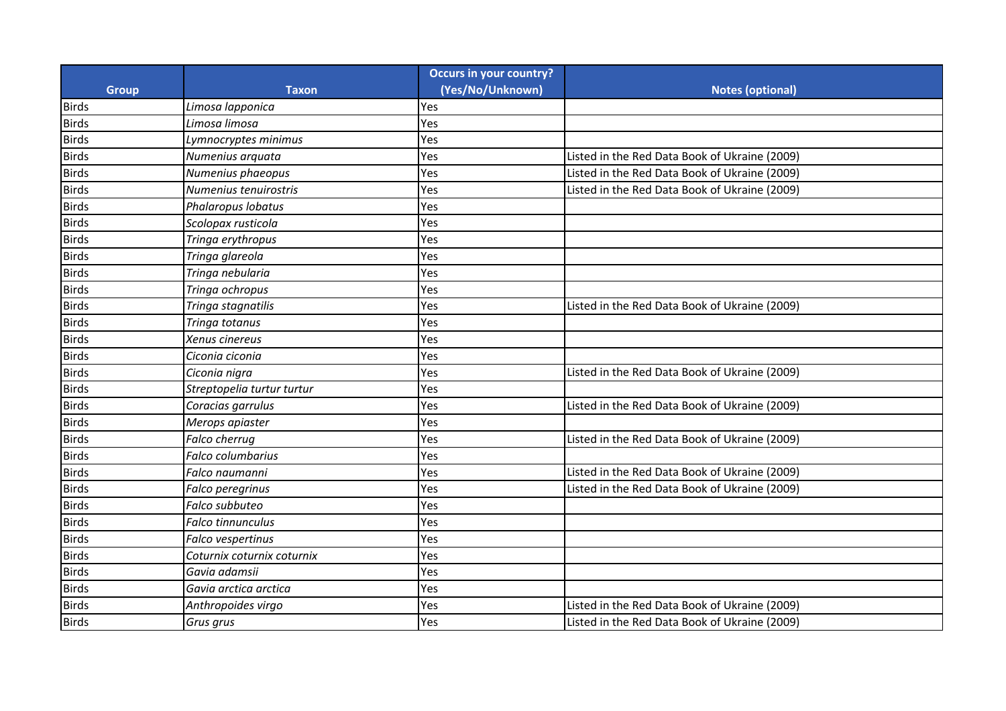|              |                            | <b>Occurs in your country?</b> |                                               |
|--------------|----------------------------|--------------------------------|-----------------------------------------------|
| <b>Group</b> | <b>Taxon</b>               | (Yes/No/Unknown)               | <b>Notes (optional)</b>                       |
| <b>Birds</b> | Limosa lapponica           | Yes                            |                                               |
| <b>Birds</b> | Limosa limosa              | Yes                            |                                               |
| <b>Birds</b> | Lymnocryptes minimus       | Yes                            |                                               |
| <b>Birds</b> | Numenius arquata           | Yes                            | Listed in the Red Data Book of Ukraine (2009) |
| <b>Birds</b> | Numenius phaeopus          | Yes                            | Listed in the Red Data Book of Ukraine (2009) |
| <b>Birds</b> | Numenius tenuirostris      | Yes                            | Listed in the Red Data Book of Ukraine (2009) |
| <b>Birds</b> | Phalaropus lobatus         | Yes                            |                                               |
| <b>Birds</b> | Scolopax rusticola         | Yes                            |                                               |
| <b>Birds</b> | Tringa erythropus          | Yes                            |                                               |
| <b>Birds</b> | Tringa glareola            | Yes                            |                                               |
| <b>Birds</b> | Tringa nebularia           | Yes                            |                                               |
| <b>Birds</b> | Tringa ochropus            | Yes                            |                                               |
| <b>Birds</b> | Tringa stagnatilis         | Yes                            | Listed in the Red Data Book of Ukraine (2009) |
| <b>Birds</b> | Tringa totanus             | Yes                            |                                               |
| <b>Birds</b> | Xenus cinereus             | Yes                            |                                               |
| <b>Birds</b> | Ciconia ciconia            | Yes                            |                                               |
| <b>Birds</b> | Ciconia nigra              | Yes                            | Listed in the Red Data Book of Ukraine (2009) |
| <b>Birds</b> | Streptopelia turtur turtur | Yes                            |                                               |
| <b>Birds</b> | Coracias garrulus          | Yes                            | Listed in the Red Data Book of Ukraine (2009) |
| <b>Birds</b> | Merops apiaster            | Yes                            |                                               |
| <b>Birds</b> | Falco cherrug              | Yes                            | Listed in the Red Data Book of Ukraine (2009) |
| <b>Birds</b> | Falco columbarius          | Yes                            |                                               |
| <b>Birds</b> | Falco naumanni             | Yes                            | Listed in the Red Data Book of Ukraine (2009) |
| <b>Birds</b> | Falco peregrinus           | Yes                            | Listed in the Red Data Book of Ukraine (2009) |
| <b>Birds</b> | Falco subbuteo             | Yes                            |                                               |
| <b>Birds</b> | <b>Falco tinnunculus</b>   | Yes                            |                                               |
| <b>Birds</b> | Falco vespertinus          | Yes                            |                                               |
| <b>Birds</b> | Coturnix coturnix coturnix | Yes                            |                                               |
| <b>Birds</b> | Gavia adamsii              | Yes                            |                                               |
| <b>Birds</b> | Gavia arctica arctica      | Yes                            |                                               |
| <b>Birds</b> | Anthropoides virgo         | Yes                            | Listed in the Red Data Book of Ukraine (2009) |
| <b>Birds</b> | Grus grus                  | Yes                            | Listed in the Red Data Book of Ukraine (2009) |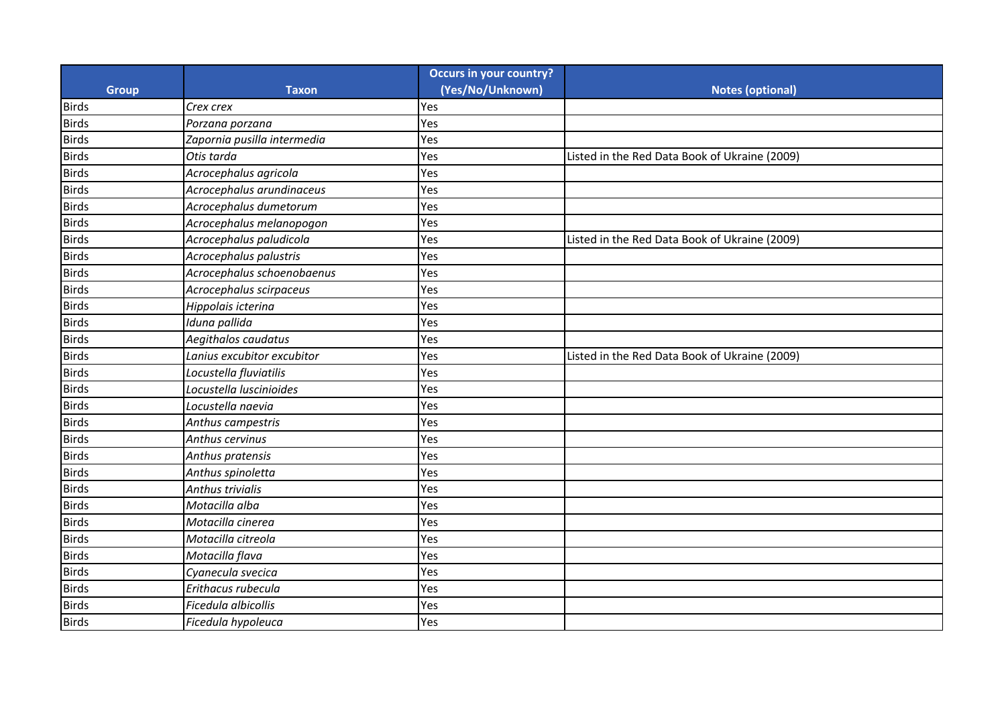|              |                             | <b>Occurs in your country?</b> |                                               |
|--------------|-----------------------------|--------------------------------|-----------------------------------------------|
| <b>Group</b> | <b>Taxon</b>                | (Yes/No/Unknown)               | <b>Notes (optional)</b>                       |
| <b>Birds</b> | Crex crex                   | Yes                            |                                               |
| <b>Birds</b> | Porzana porzana             | Yes                            |                                               |
| <b>Birds</b> | Zapornia pusilla intermedia | Yes                            |                                               |
| <b>Birds</b> | Otis tarda                  | Yes                            | Listed in the Red Data Book of Ukraine (2009) |
| <b>Birds</b> | Acrocephalus agricola       | Yes                            |                                               |
| <b>Birds</b> | Acrocephalus arundinaceus   | Yes                            |                                               |
| <b>Birds</b> | Acrocephalus dumetorum      | Yes                            |                                               |
| <b>Birds</b> | Acrocephalus melanopogon    | Yes                            |                                               |
| <b>Birds</b> | Acrocephalus paludicola     | Yes                            | Listed in the Red Data Book of Ukraine (2009) |
| <b>Birds</b> | Acrocephalus palustris      | Yes                            |                                               |
| <b>Birds</b> | Acrocephalus schoenobaenus  | Yes                            |                                               |
| <b>Birds</b> | Acrocephalus scirpaceus     | Yes                            |                                               |
| <b>Birds</b> | Hippolais icterina          | Yes                            |                                               |
| <b>Birds</b> | Iduna pallida               | Yes                            |                                               |
| <b>Birds</b> | Aegithalos caudatus         | Yes                            |                                               |
| <b>Birds</b> | Lanius excubitor excubitor  | Yes                            | Listed in the Red Data Book of Ukraine (2009) |
| <b>Birds</b> | Locustella fluviatilis      | Yes                            |                                               |
| <b>Birds</b> | Locustella luscinioides     | Yes                            |                                               |
| <b>Birds</b> | Locustella naevia           | Yes                            |                                               |
| <b>Birds</b> | Anthus campestris           | Yes                            |                                               |
| <b>Birds</b> | Anthus cervinus             | Yes                            |                                               |
| <b>Birds</b> | Anthus pratensis            | Yes                            |                                               |
| <b>Birds</b> | Anthus spinoletta           | Yes                            |                                               |
| <b>Birds</b> | Anthus trivialis            | Yes                            |                                               |
| <b>Birds</b> | Motacilla alba              | Yes                            |                                               |
| <b>Birds</b> | Motacilla cinerea           | Yes                            |                                               |
| <b>Birds</b> | Motacilla citreola          | Yes                            |                                               |
| <b>Birds</b> | Motacilla flava             | Yes                            |                                               |
| <b>Birds</b> | Cyanecula svecica           | Yes                            |                                               |
| <b>Birds</b> | Erithacus rubecula          | Yes                            |                                               |
| <b>Birds</b> | Ficedula albicollis         | Yes                            |                                               |
| <b>Birds</b> | Ficedula hypoleuca          | Yes                            |                                               |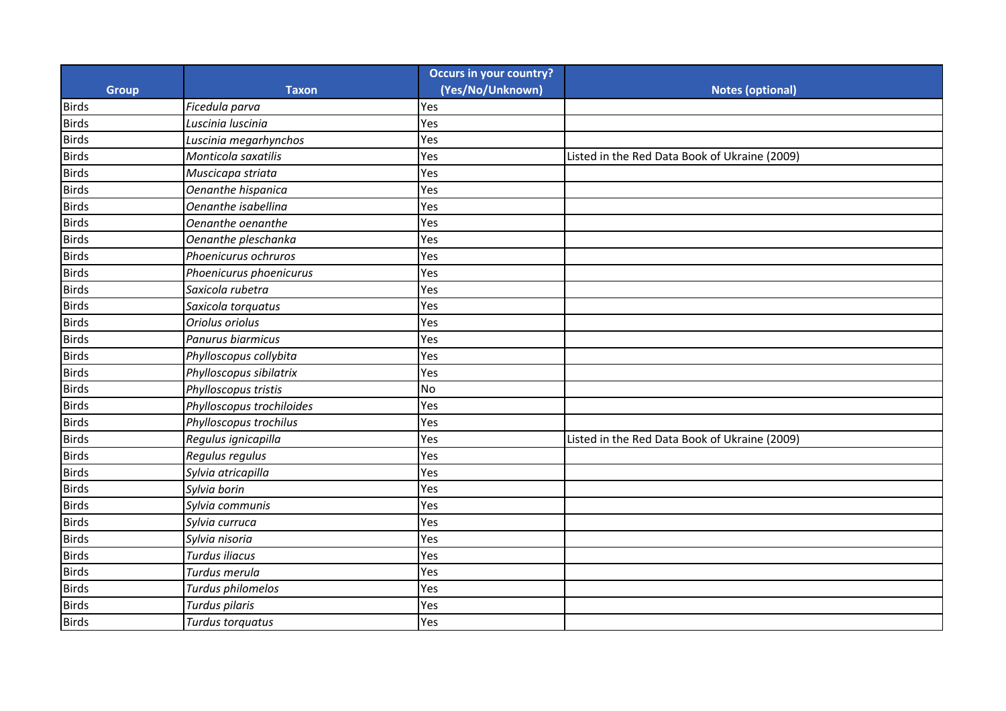|              |                           | <b>Occurs in your country?</b> |                                               |
|--------------|---------------------------|--------------------------------|-----------------------------------------------|
| <b>Group</b> | <b>Taxon</b>              | (Yes/No/Unknown)               | <b>Notes (optional)</b>                       |
| <b>Birds</b> | Ficedula parva            | Yes                            |                                               |
| <b>Birds</b> | Luscinia luscinia         | Yes                            |                                               |
| <b>Birds</b> | Luscinia megarhynchos     | Yes                            |                                               |
| <b>Birds</b> | Monticola saxatilis       | Yes                            | Listed in the Red Data Book of Ukraine (2009) |
| <b>Birds</b> | Muscicapa striata         | Yes                            |                                               |
| <b>Birds</b> | Oenanthe hispanica        | Yes                            |                                               |
| <b>Birds</b> | Oenanthe isabellina       | Yes                            |                                               |
| <b>Birds</b> | Oenanthe oenanthe         | Yes                            |                                               |
| <b>Birds</b> | Oenanthe pleschanka       | Yes                            |                                               |
| <b>Birds</b> | Phoenicurus ochruros      | Yes                            |                                               |
| <b>Birds</b> | Phoenicurus phoenicurus   | Yes                            |                                               |
| <b>Birds</b> | Saxicola rubetra          | Yes                            |                                               |
| <b>Birds</b> | Saxicola torquatus        | Yes                            |                                               |
| <b>Birds</b> | Oriolus oriolus           | Yes                            |                                               |
| <b>Birds</b> | Panurus biarmicus         | Yes                            |                                               |
| <b>Birds</b> | Phylloscopus collybita    | Yes                            |                                               |
| <b>Birds</b> | Phylloscopus sibilatrix   | Yes                            |                                               |
| <b>Birds</b> | Phylloscopus tristis      | <b>No</b>                      |                                               |
| <b>Birds</b> | Phylloscopus trochiloides | Yes                            |                                               |
| <b>Birds</b> | Phylloscopus trochilus    | Yes                            |                                               |
| <b>Birds</b> | Regulus ignicapilla       | Yes                            | Listed in the Red Data Book of Ukraine (2009) |
| <b>Birds</b> | Regulus regulus           | Yes                            |                                               |
| <b>Birds</b> | Sylvia atricapilla        | Yes                            |                                               |
| <b>Birds</b> | Sylvia borin              | Yes                            |                                               |
| <b>Birds</b> | Sylvia communis           | Yes                            |                                               |
| <b>Birds</b> | Sylvia curruca            | Yes                            |                                               |
| <b>Birds</b> | Sylvia nisoria            | Yes                            |                                               |
| <b>Birds</b> | Turdus iliacus            | Yes                            |                                               |
| <b>Birds</b> | Turdus merula             | Yes                            |                                               |
| <b>Birds</b> | Turdus philomelos         | Yes                            |                                               |
| <b>Birds</b> | Turdus pilaris            | Yes                            |                                               |
| <b>Birds</b> | Turdus torquatus          | Yes                            |                                               |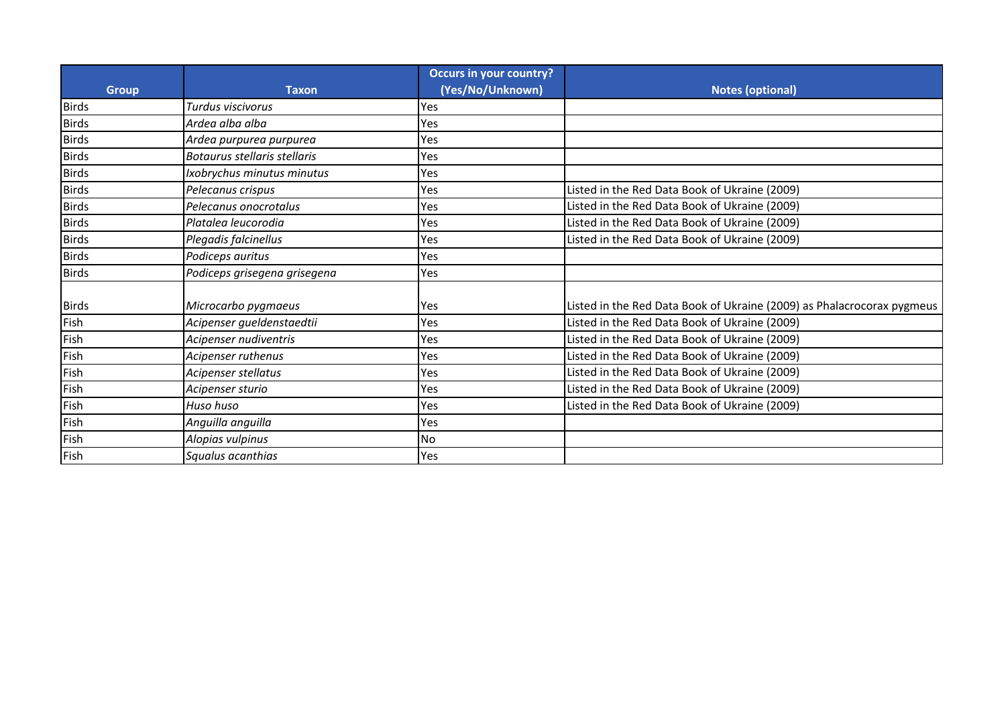| <b>Group</b> | <b>Taxon</b>                 | <b>Occurs in your country?</b><br>(Yes/No/Unknown) | <b>Notes (optional)</b>                                                |
|--------------|------------------------------|----------------------------------------------------|------------------------------------------------------------------------|
| <b>Birds</b> | Turdus viscivorus            | Yes                                                |                                                                        |
| <b>Birds</b> | Ardea alba alba              | Yes                                                |                                                                        |
| <b>Birds</b> | Ardea purpurea purpurea      | Yes                                                |                                                                        |
| <b>Birds</b> | Botaurus stellaris stellaris | Yes                                                |                                                                        |
| <b>Birds</b> | Ixobrychus minutus minutus   | Yes                                                |                                                                        |
| <b>Birds</b> | Pelecanus crispus            | Yes                                                | Listed in the Red Data Book of Ukraine (2009)                          |
| <b>Birds</b> | Pelecanus onocrotalus        | Yes                                                | Listed in the Red Data Book of Ukraine (2009)                          |
| <b>Birds</b> | Platalea leucorodia          | Yes                                                | Listed in the Red Data Book of Ukraine (2009)                          |
| <b>Birds</b> | Plegadis falcinellus         | Yes                                                | Listed in the Red Data Book of Ukraine (2009)                          |
| <b>Birds</b> | Podiceps auritus             | Yes                                                |                                                                        |
| <b>Birds</b> | Podiceps grisegena grisegena | Yes                                                |                                                                        |
| <b>Birds</b> | Microcarbo pygmaeus          | Yes                                                | Listed in the Red Data Book of Ukraine (2009) as Phalacrocorax pygmeus |
| Fish         | Acipenser gueldenstaedtii    | Yes                                                | Listed in the Red Data Book of Ukraine (2009)                          |
| Fish         | Acipenser nudiventris        | Yes                                                | Listed in the Red Data Book of Ukraine (2009)                          |
| Fish         | Acipenser ruthenus           | Yes                                                | Listed in the Red Data Book of Ukraine (2009)                          |
| Fish         | Acipenser stellatus          | Yes                                                | Listed in the Red Data Book of Ukraine (2009)                          |
| Fish         | Acipenser sturio             | Yes                                                | Listed in the Red Data Book of Ukraine (2009)                          |
| Fish         | Huso huso                    | Yes                                                | Listed in the Red Data Book of Ukraine (2009)                          |
| Fish         | Anguilla anguilla            | Yes                                                |                                                                        |
| Fish         | Alopias vulpinus             | N <sub>o</sub>                                     |                                                                        |
| Fish         | Squalus acanthias            | Yes                                                |                                                                        |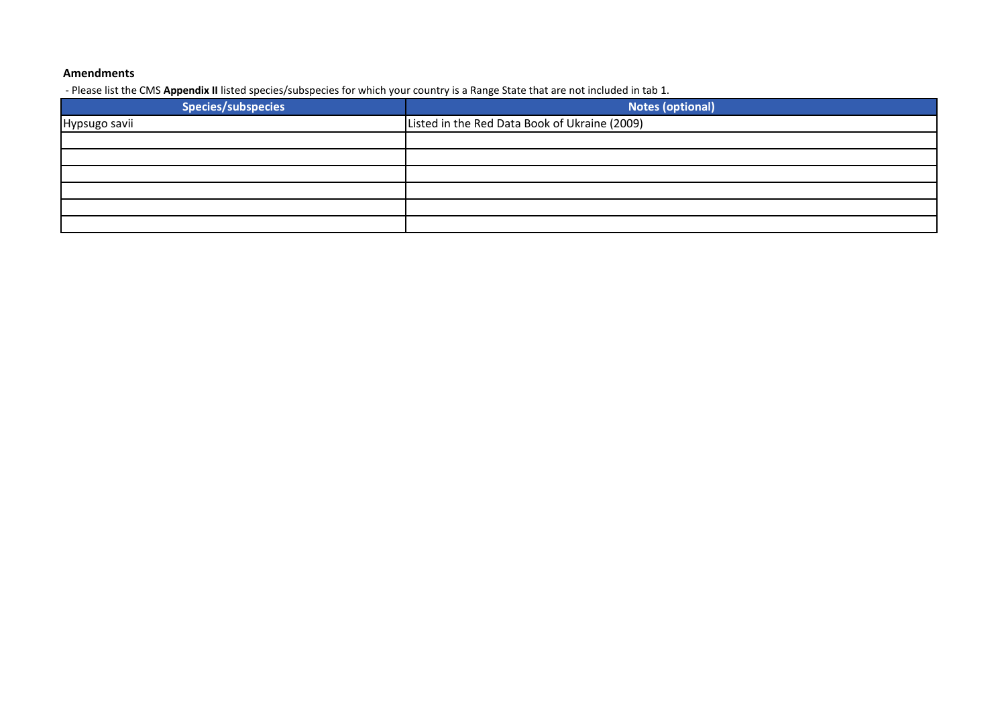## **Amendments**

- Please list the CMS **Appendix II** listed species/subspecies for which your country is a Range State that are not included in tab 1.

| <b>Species/subspecies</b> | <b>Notes (optional)</b>                       |
|---------------------------|-----------------------------------------------|
| Hypsugo savii             | Listed in the Red Data Book of Ukraine (2009) |
|                           |                                               |
|                           |                                               |
|                           |                                               |
|                           |                                               |
|                           |                                               |
|                           |                                               |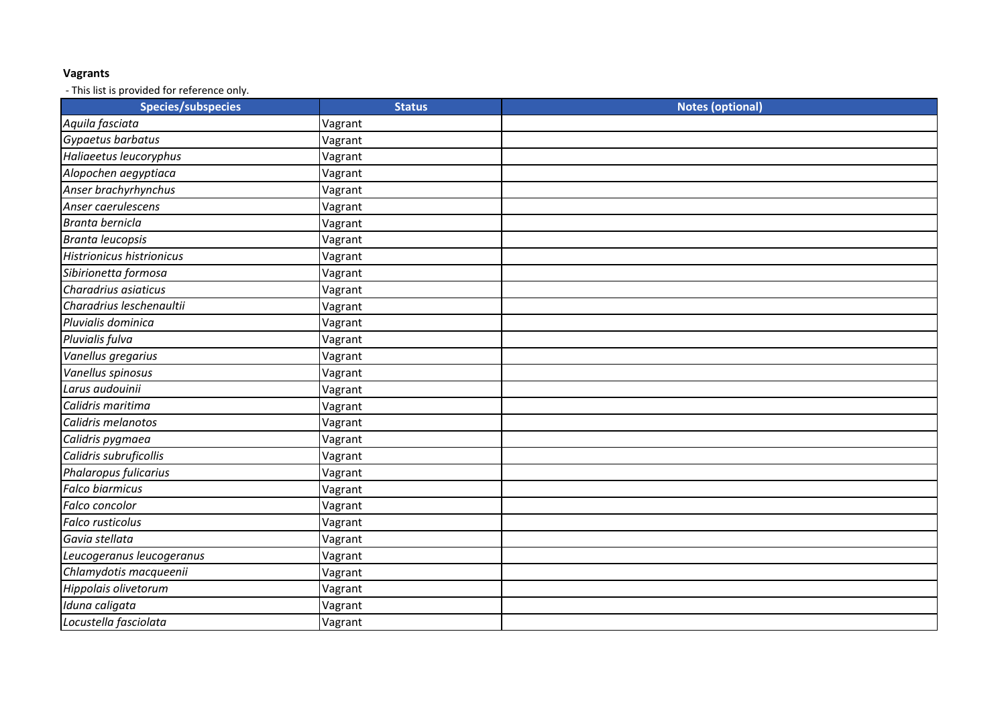## **Vagrants**

- This list is provided for reference only.

| <b>Species/subspecies</b> | <b>Status</b> | <b>Notes (optional)</b> |
|---------------------------|---------------|-------------------------|
| Aquila fasciata           | Vagrant       |                         |
| Gypaetus barbatus         | Vagrant       |                         |
| Haliaeetus leucoryphus    | Vagrant       |                         |
| Alopochen aegyptiaca      | Vagrant       |                         |
| Anser brachyrhynchus      | Vagrant       |                         |
| Anser caerulescens        | Vagrant       |                         |
| Branta bernicla           | Vagrant       |                         |
| Branta leucopsis          | Vagrant       |                         |
| Histrionicus histrionicus | Vagrant       |                         |
| Sibirionetta formosa      | Vagrant       |                         |
| Charadrius asiaticus      | Vagrant       |                         |
| Charadrius leschenaultii  | Vagrant       |                         |
| Pluvialis dominica        | Vagrant       |                         |
| Pluvialis fulva           | Vagrant       |                         |
| Vanellus gregarius        | Vagrant       |                         |
| Vanellus spinosus         | Vagrant       |                         |
| Larus audouinii           | Vagrant       |                         |
| Calidris maritima         | Vagrant       |                         |
| Calidris melanotos        | Vagrant       |                         |
| Calidris pygmaea          | Vagrant       |                         |
| Calidris subruficollis    | Vagrant       |                         |
| Phalaropus fulicarius     | Vagrant       |                         |
| <b>Falco biarmicus</b>    | Vagrant       |                         |
| Falco concolor            | Vagrant       |                         |
| <b>Falco rusticolus</b>   | Vagrant       |                         |
| Gavia stellata            | Vagrant       |                         |
| Leucogeranus leucogeranus | Vagrant       |                         |
| Chlamydotis macqueenii    | Vagrant       |                         |
| Hippolais olivetorum      | Vagrant       |                         |
| Iduna caligata            | Vagrant       |                         |
| Locustella fasciolata     | Vagrant       |                         |